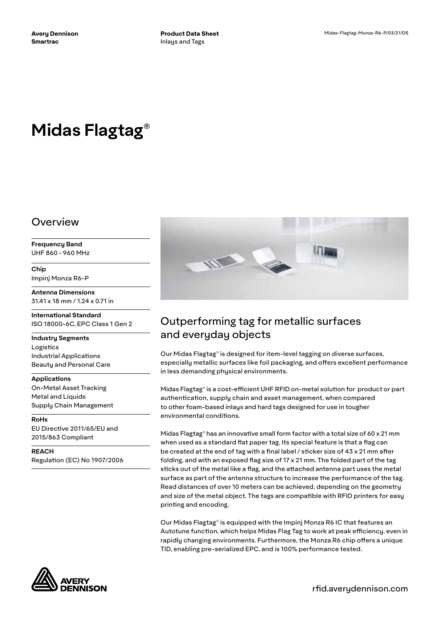# **Midas Flagtag®**

### Overview

**Frequency Band** UHF 860 - 960 MHz

**Chip** Impinj Monza R6-P

**Antenna Dimensions** 31.41 x 18 mm / 1.24 x 0.71 in

**International Standard** ISO 18000-6C, EPC Class 1 Gen 2

**Industry Segments** Logistics Industrial Applications Beauty and Personal Care

**Applications** On-Metal Asset Tracking Metal and Liquids Supply Chain Management

**RoHs** EU Directive 2011/65/EU and 2015/863 Compliant

**REACH** Regulation (EC) No 1907/2006





# Outperforming tag for metallic surfaces and everyday objects

Our Midas Flagtag® is designed for item-level tagging on diverse surfaces, especially metallic surfaces like foil packaging, and offers excellent performance in less demanding physical environments.

Midas Flagtag® is a cost-efficient UHF RFID on-metal solution for product or part authentication, supply chain and asset management, when compared to other foam-based inlays and hard tags designed for use in tougher environmental conditions.

Midas Flagtag® has an innovative small form factor with a total size of 60 x 21 mm when used as a standard flat paper tag. Its special feature is that a flag can be created at the end of tag with a final label / sticker size of 43 x 21 mm after folding, and with an exposed flag size of 17 x 21 mm. The folded part of the tag sticks out of the metal like a flag, and the attached antenna part uses the metal surface as part of the antenna structure to increase the performance of the tag. Read distances of over 10 meters can be achieved, depending on the geometry and size of the metal object. The tags are compatible with RFID printers for easy printing and encoding.

Our Midas Flagtag® is equipped with the Impinj Monza R6 IC that features an Autotune function, which helps Midas Flag Tag to work at peak efficiency, even in rapidly changing environments. Furthermore, the Monza R6 chip offers a unique TID, enabling pre-serialized EPC, and is 100% performance tested.